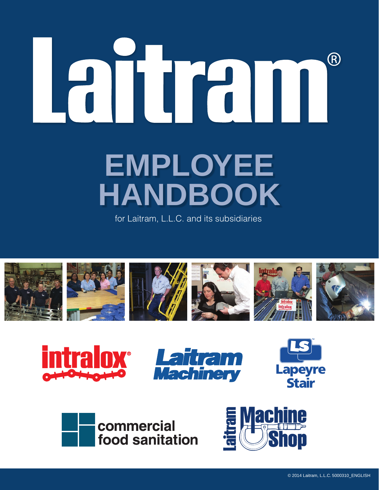# (R) **Employee Handbook**

for Laitram, L.L.C. and its subsidiaries











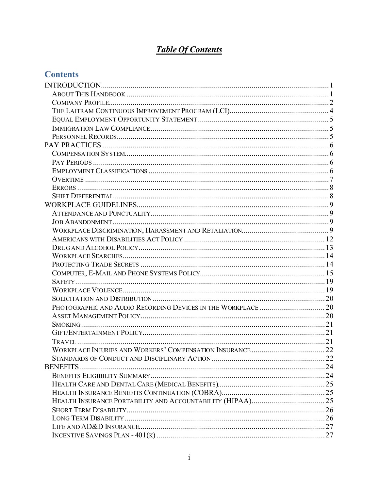# **Table Of Contents**

# **Contents**

| <b>BENEFITS</b> |  |
|-----------------|--|
|                 |  |
|                 |  |
|                 |  |
|                 |  |
|                 |  |
|                 |  |
|                 |  |
|                 |  |
|                 |  |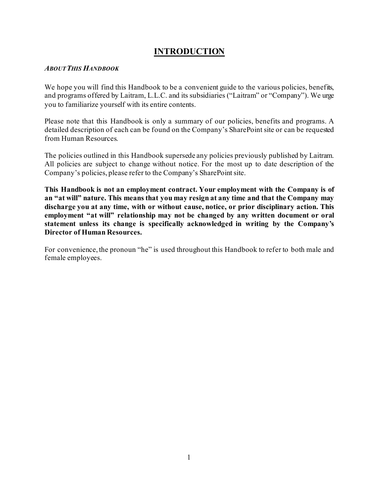### **INTRODUCTION**

#### <span id="page-3-1"></span><span id="page-3-0"></span>*ABOUT THIS HANDBOOK*

We hope you will find this Handbook to be a convenient guide to the various policies, benefits, and programs offered by Laitram, L.L.C. and its subsidiaries ("Laitram" or "Company"). We urge you to familiarize yourself with its entire contents.

Please note that this Handbook is only a summary of our policies, benefits and programs. A detailed description of each can be found on the Company's SharePoint site or can be requested from Human Resources.

The policies outlined in this Handbook supersede any policies previously published by Laitram. All policies are subject to change without notice. For the most up to date description of the Company's policies, please refer to the Company's SharePoint site.

**This Handbook is not an employment contract. Your employment with the Company is of an "at will" nature. This means that you may resign at any time and that the Company may discharge you at any time, with or without cause, notice, or prior disciplinary action. This employment "at will" relationship may not be changed by any written document or oral statement unless its change is specifically acknowledged in writing by the Company's Director of Human Resources.**

For convenience, the pronoun "he" is used throughout this Handbook to refer to both male and female employees.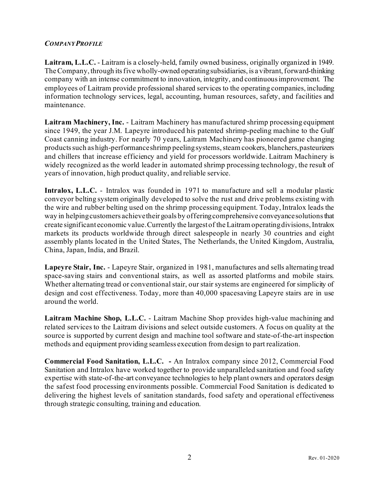#### <span id="page-4-0"></span>*COMPANY PROFILE*

**Laitram, L.L.C.** - Laitram is a closely-held, family owned business, originally organized in 1949. The Company, through its five wholly-owned operating subsidiaries, is a vibrant, forward-thinking company with an intense commitment to innovation, integrity, and continuous improvement. The employees of Laitram provide professional shared services to the operating companies, including information technology services, legal, accounting, human resources, safety, and facilities and maintenance.

**Laitram Machinery, Inc.** - Laitram Machinery has manufactured shrimp processing equipment since 1949, the year J.M. Lapeyre introduced his patented shrimp-peeling machine to the Gulf Coast canning industry. For nearly 70 years, Laitram Machinery has pioneered game changing products such as high-performance shrimp peeling systems, steam cookers, blanchers, pasteurizers and chillers that increase efficiency and yield for processors worldwide. Laitram Machinery is widely recognized as the world leader in automated shrimp processing technology, the result of years of innovation, high product quality, and reliable service.

**Intralox, L.L.C.** - Intralox was founded in 1971 to manufacture and sell a modular plastic conveyor belting system originally developed to solve the rust and drive problems existing with the wire and rubber belting used on the shrimp processing equipment. Today, Intralox leads the way in helping customers achieve their goals by offering comprehensive conveyance solutions that create significant economic value. Currently the largest of the Laitram operating divisions, Intralox markets its products worldwide through direct salespeople in nearly 30 countries and eight assembly plants located in the United States, The Netherlands, the United Kingdom, Australia, China, Japan, India, and Brazil.

**Lapeyre Stair, Inc.** - Lapeyre Stair, organized in 1981, manufactures and sells alternating tread space-saving stairs and conventional stairs, as well as assorted platforms and mobile stairs. Whether alternating tread or conventional stair, our stair systems are engineered for simplicity of design and cost effectiveness. Today, more than 40,000 spacesaving Lapeyre stairs are in use around the world.

**Laitram Machine Shop, L.L.C.** - Laitram Machine Shop provides high-value machining and related services to the Laitram divisions and select outside customers. A focus on quality at the source is supported by current design and machine tool software and state-of-the-art inspection methods and equipment providing seamless execution from design to part realization.

**Commercial Food Sanitation, L.L.C. -** An Intralox company since 2012, Commercial Food Sanitation and Intralox have worked together to provide unparalleled sanitation and food safety expertise with state-of-the-art conveyance technologies to help plant owners and operators design the safest food processing environments possible. Commercial Food Sanitation is dedicated to delivering the highest levels of sanitation standards, food safety and operational effectiveness through strategic consulting, training and education.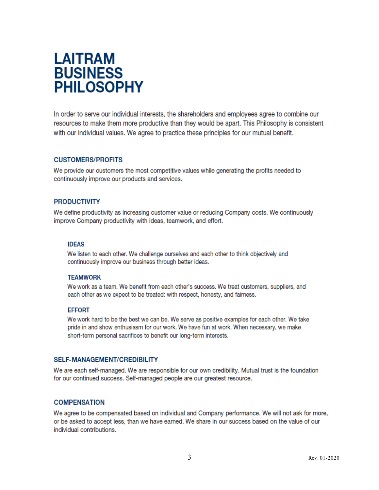# **LAITRAM BUSINESS PHILOSOPHY**

In order to serve our individual interests, the shareholders and employees agree to combine our resources to make them more productive than they would be apart. This Philosophy is consistent with our individual values. We agree to practice these principles for our mutual benefit.

#### **CUSTOMERS/PROFITS**

We provide our customers the most competitive values while generating the profits needed to continuously improve our products and services.

#### **PRODUCTIVITY**

We define productivity as increasing customer value or reducing Company costs. We continuously improve Company productivity with ideas, teamwork, and effort.

#### **IDEAS**

We listen to each other. We challenge ourselves and each other to think objectively and continuously improve our business through better ideas.

#### **TEAMWORK**

We work as a team. We benefit from each other's success. We treat customers, suppliers, and each other as we expect to be treated: with respect, honesty, and fairness.

#### **EFFORT**

We work hard to be the best we can be. We serve as positive examples for each other. We take pride in and show enthusiasm for our work. We have fun at work. When necessary, we make short-term personal sacrifices to benefit our long-term interests.

#### **SELF-MANAGEMENT/CREDIBILITY**

We are each self-managed. We are responsible for our own credibility. Mutual trust is the foundation for our continued success. Self-managed people are our greatest resource.

#### **COMPENSATION**

We agree to be compensated based on individual and Company performance. We will not ask for more, or be asked to accept less, than we have earned. We share in our success based on the value of our individual contributions.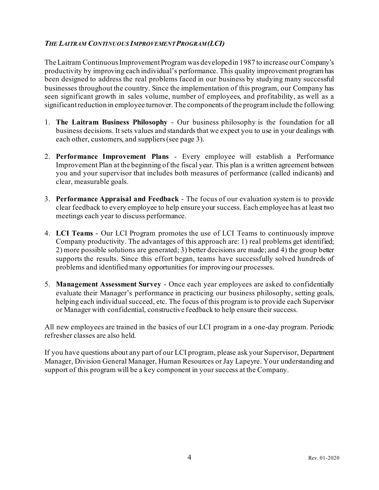#### <span id="page-6-0"></span>*THE LAITRAM CONTINUOUS IMPROVEMENT PROGRAM (LCI)*

The Laitram Continuous Improvement Program was developed in 1987 to increase our Company's productivity by improving each individual's performance. This quality improvement program has been designed to address the real problems faced in our business by studying many successful businesses throughout the country. Since the implementation of this program, our Company has seen significant growth in sales volume, number of employees, and profitability, as well as a significant reduction in employee turnover. The components of the program include the following:

- 1. **The Laitram Business Philosophy** Our business philosophy is the foundation for all business decisions. It sets values and standards that we expect you to use in your dealings with each other, customers, and suppliers (see page 3).
- 2. **Performance Improvement Plans** Every employee will establish a Performance Improvement Plan at the beginning of the fiscal year. This plan is a written agreement between you and your supervisor that includes both measures of performance (called indicants) and clear, measurable goals.
- 3. **Performance Appraisal and Feedback** The focus of our evaluation system is to provide clear feedback to every employee to help ensure your success. Each employee has at least two meetings each year to discuss performance.
- 4. **LCI Teams** Our LCI Program promotes the use of LCI Teams to continuously improve Company productivity. The advantages of this approach are: 1) real problems get identified; 2) more possible solutions are generated; 3) better decisions are made; and 4) the group better supports the results. Since this effort began, teams have successfully solved hundreds of problems and identified many opportunities for improving our processes.
- 5. **Management Assessment Survey** Once each year employees are asked to confidentially evaluate their Manager's performance in practicing our business philosophy, setting goals, helping each individual succeed, etc. The focus of this program is to provide each Supervisor or Manager with confidential, constructive feedback to help ensure their success.

All new employees are trained in the basics of our LCI program in a one-day program. Periodic refresher classes are also held.

If you have questions about any part of our LCI program, please ask your Supervisor, Department Manager, Division General Manager, Human Resources or Jay Lapeyre. Your understanding and support of this program will be a key component in your success at the Company.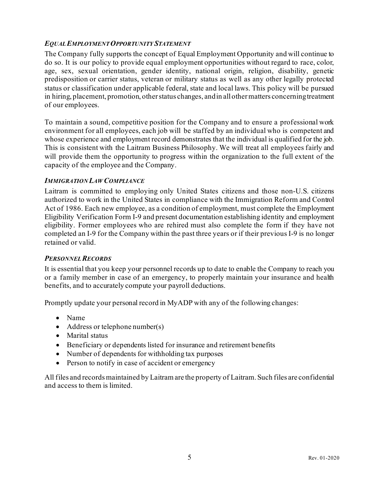#### <span id="page-7-0"></span>*EQUAL EMPLOYMENT OPPORTUNITY STATEMENT*

The Company fully supports the concept of Equal Employment Opportunity and will continue to do so. It is our policy to provide equal employment opportunities without regard to race, color, age, sex, sexual orientation, gender identity, national origin, religion, disability, genetic predisposition or carrier status, veteran or military status as well as any other legally protected status or classification under applicable federal, state and local laws. This policy will be pursued in hiring, placement, promotion, other status changes, and in all other matters concerning treatment of our employees.

To maintain a sound, competitive position for the Company and to ensure a professional work environment for all employees, each job will be staffed by an individual who is competent and whose experience and employment record demonstrates that the individual is qualified for the job. This is consistent with the Laitram Business Philosophy. We will treat all employees fairly and will provide them the opportunity to progress within the organization to the full extent of the capacity of the employee and the Company.

#### <span id="page-7-1"></span>*IMMIGRATION LAW COMPLIANCE*

Laitram is committed to employing only United States citizens and those non-U.S. citizens authorized to work in the United States in compliance with the Immigration Reform and Control Act of 1986. Each new employee, as a condition of employment, must complete the Employment Eligibility Verification Form I-9 and present documentation establishing identity and employment eligibility. Former employees who are rehired must also complete the form if they have not completed an I-9 for the Company within the past three years or if their previous I-9 is no longer retained or valid.

#### <span id="page-7-2"></span>*PERSONNEL RECORDS*

It is essential that you keep your personnel records up to date to enable the Company to reach you or a family member in case of an emergency, to properly maintain your insurance and health benefits, and to accurately compute your payroll deductions.

Promptly update your personal record in MyADP with any of the following changes:

- Name
- Address or telephone number(s)
- Marital status
- Beneficiary or dependents listed for insurance and retirement benefits
- Number of dependents for withholding tax purposes
- Person to notify in case of accident or emergency

All files and records maintained by Laitram are the property of Laitram. Such files are confidential and access to them is limited.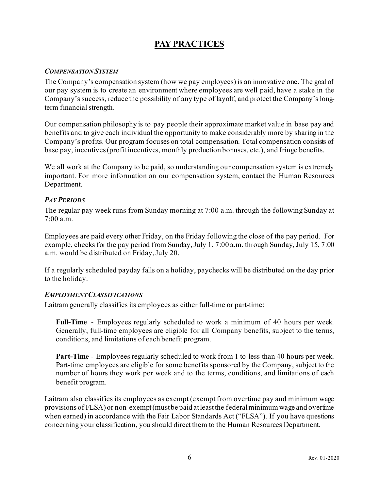# **PAY PRACTICES**

#### <span id="page-8-1"></span><span id="page-8-0"></span>*COMPENSATION SYSTEM*

The Company's compensation system (how we pay employees) is an innovative one. The goal of our pay system is to create an environment where employees are well paid, have a stake in the Company's success, reduce the possibility of any type of layoff, and protect the Company's longterm financial strength.

Our compensation philosophy is to pay people their approximate market value in base pay and benefits and to give each individual the opportunity to make considerably more by sharing in the Company's profits. Our program focuses on total compensation. Total compensation consists of base pay, incentives (profit incentives, monthly production bonuses, etc.), and fringe benefits.

We all work at the Company to be paid, so understanding our compensation system is extremely important. For more information on our compensation system, contact the Human Resources Department.

#### <span id="page-8-2"></span>*PAY PERIODS*

The regular pay week runs from Sunday morning at 7:00 a.m. through the following Sunday at 7:00 a.m.

Employees are paid every other Friday, on the Friday following the close of the pay period. For example, checks for the pay period from Sunday, July 1, 7:00 a.m. through Sunday, July 15, 7:00 a.m. would be distributed on Friday, July 20.

If a regularly scheduled payday falls on a holiday, paychecks will be distributed on the day prior to the holiday.

#### <span id="page-8-3"></span>*EMPLOYMENT CLASSIFICATIONS*

Laitram generally classifies its employees as either full-time or part-time:

**Full-Time** - Employees regularly scheduled to work a minimum of 40 hours per week. Generally, full-time employees are eligible for all Company benefits, subject to the terms, conditions, and limitations of each benefit program.

**Part-Time** - Employees regularly scheduled to work from 1 to less than 40 hours per week. Part-time employees are eligible for some benefits sponsored by the Company, subject to the number of hours they work per week and to the terms, conditions, and limitations of each benefit program.

Laitram also classifies its employees as exempt (exempt from overtime pay and minimum wage provisions of FLSA) or non-exempt(must be paid at least the federal minimum wage and overtime when earned) in accordance with the Fair Labor Standards Act ("FLSA"). If you have questions concerning your classification, you should direct them to the Human Resources Department.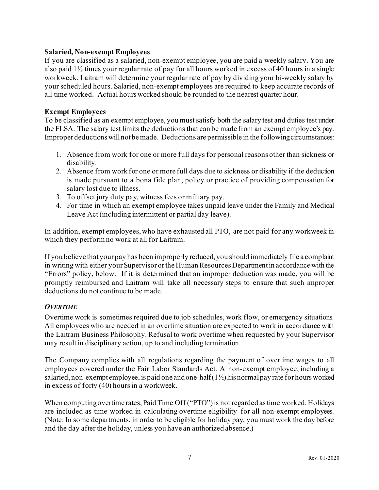#### **Salaried, Non-exempt Employees**

If you are classified as a salaried, non-exempt employee, you are paid a weekly salary. You are also paid 1½ times your regular rate of pay for all hours worked in excess of 40 hours in a single workweek. Laitram will determine your regular rate of pay by dividing your bi-weekly salary by your scheduled hours. Salaried, non-exempt employees are required to keep accurate records of all time worked. Actual hours worked should be rounded to the nearest quarter hour.

#### **Exempt Employees**

To be classified as an exempt employee, you must satisfy both the salary test and duties test under the FLSA. The salary test limits the deductions that can be made from an exempt employee's pay. Improper deductions will not be made. Deductions are permissible in the following circumstances:

- 1. Absence from work for one or more full days for personal reasons other than sickness or disability.
- 2. Absence from work for one or more full days due to sickness or disability if the deduction is made pursuant to a bona fide plan, policy or practice of providing compensation for salary lost due to illness.
- 3. To offset jury duty pay, witness fees or military pay.
- 4. For time in which an exempt employee takes unpaid leave under the Family and Medical Leave Act (including intermittent or partial day leave).

In addition, exempt employees, who have exhausted all PTO, are not paid for any workweek in which they perform no work at all for Laitram.

If you believe that your pay has been improperly reduced, you should immediately file a complaint in writing with either your Supervisor or the Human Resources Department in accordance with the "Errors" policy, below. If it is determined that an improper deduction was made, you will be promptly reimbursed and Laitram will take all necessary steps to ensure that such improper deductions do not continue to be made.

#### <span id="page-9-0"></span>*OVERTIME*

Overtime work is sometimes required due to job schedules, work flow, or emergency situations. All employees who are needed in an overtime situation are expected to work in accordance with the Laitram Business Philosophy. Refusal to work overtime when requested by your Supervisor may result in disciplinary action, up to and including termination.

The Company complies with all regulations regarding the payment of overtime wages to all employees covered under the Fair Labor Standards Act. A non-exempt employee, including a salaried, non-exempt employee, is paid one and one-half  $(1\frac{1}{2})$  his normal pay rate for hours worked in excess of forty (40) hours in a workweek.

When computing overtime rates, Paid Time Off ("PTO") is not regarded as time worked. Holidays are included as time worked in calculating overtime eligibility for all non-exempt employees. (Note: In some departments, in order to be eligible for holiday pay, you must work the day before and the day after the holiday, unless you have an authorized absence.)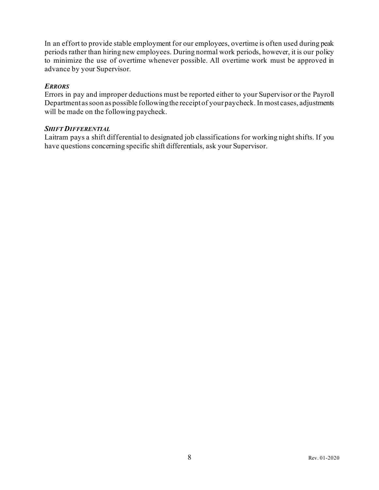In an effort to provide stable employment for our employees, overtime is often used during peak periods rather than hiring new employees. During normal work periods, however, it is our policy to minimize the use of overtime whenever possible. All overtime work must be approved in advance by your Supervisor.

#### <span id="page-10-0"></span>*ERRORS*

Errors in pay and improper deductions must be reported either to your Supervisor or the Payroll Department as soon as possible following the receipt of your paycheck. In most cases, adjustments will be made on the following paycheck.

#### <span id="page-10-1"></span>*SHIFT DIFFERENTIAL*

Laitram pays a shift differential to designated job classifications for working night shifts. If you have questions concerning specific shift differentials, ask your Supervisor.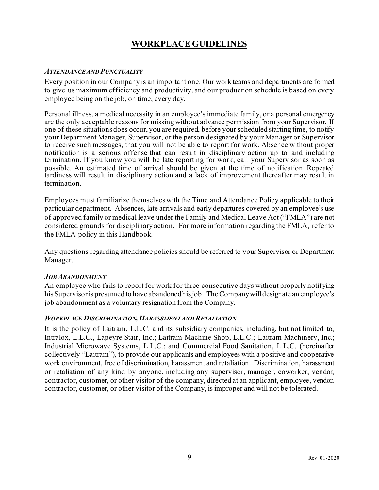# **WORKPLACE GUIDELINES**

#### <span id="page-11-1"></span><span id="page-11-0"></span>*ATTENDANCE AND PUNCTUALITY*

Every position in our Company is an important one. Our work teams and departments are formed to give us maximum efficiency and productivity, and our production schedule is based on every employee being on the job, on time, every day.

Personal illness, a medical necessity in an employee's immediate family, or a personal emergency are the only acceptable reasons for missing without advance permission from your Supervisor. If one of these situations does occur, you are required, before your scheduled starting time, to notify your Department Manager, Supervisor, or the person designated by your Manager or Supervisor to receive such messages, that you will not be able to report for work. Absence without proper notification is a serious offense that can result in disciplinary action up to and including termination. If you know you will be late reporting for work, call your Supervisor as soon as possible. An estimated time of arrival should be given at the time of notification. Repeated tardiness will result in disciplinary action and a lack of improvement thereafter may result in termination.

Employees must familiarize themselves with the Time and Attendance Policy applicable to their particular department. Absences, late arrivals and early departures covered by an employee's use of approved family or medical leave under the Family and Medical Leave Act ("FMLA") are not considered grounds for disciplinary action. For more information regarding the FMLA, refer to the FMLA policy in this Handbook.

Any questions regarding attendance policies should be referred to your Supervisor or Department Manager.

#### <span id="page-11-2"></span>*JOB ABANDONMENT*

An employee who fails to report for work for three consecutive days without properly notifying his Supervisor is presumed to have abandoned his job. The Company will designate an employee's job abandonment as a voluntary resignation from the Company.

#### <span id="page-11-3"></span>*WORKPLACE DISCRIMINATION,HARASSMENT AND RETALIATION*

It is the policy of Laitram, L.L.C. and its subsidiary companies, including, but not limited to, Intralox, L.L.C., Lapeyre Stair, Inc.; Laitram Machine Shop, L.L.C.; Laitram Machinery, Inc.; Industrial Microwave Systems, L.L.C.; and Commercial Food Sanitation, L.L.C. (hereinafter collectively "Laitram"), to provide our applicants and employees with a positive and cooperative work environment, free of discrimination, harassment and retaliation. Discrimination, harassment or retaliation of any kind by anyone, including any supervisor, manager, coworker, vendor, contractor, customer, or other visitor of the company, directed at an applicant, employee, vendor, contractor, customer, or other visitor of the Company, is improper and will not be tolerated.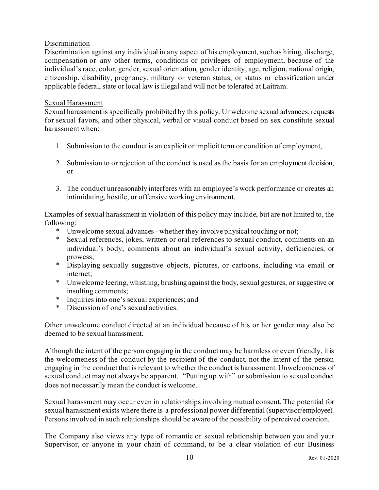#### Discrimination

Discrimination against any individual in any aspect of his employment, such as hiring, discharge, compensation or any other terms, conditions or privileges of employment, because of the individual's race, color, gender, sexual orientation, gender identity, age, religion, national origin, citizenship, disability, pregnancy, military or veteran status, or status or classification under applicable federal, state or local law is illegal and will not be tolerated at Laitram.

#### Sexual Harassment

Sexual harassment is specifically prohibited by this policy. Unwelcome sexual advances, requests for sexual favors, and other physical, verbal or visual conduct based on sex constitute sexual harassment when:

- 1. Submission to the conduct is an explicit or implicit term or condition of employment,
- 2. Submission to or rejection of the conduct is used as the basis for an employment decision, or
- 3. The conduct unreasonably interferes with an employee's work performance or creates an intimidating, hostile, or offensive working environment.

Examples of sexual harassment in violation of this policy may include, but are not limited to, the following:

- \* Unwelcome sexual advances whether they involve physical touching or not;
- \* Sexual references, jokes, written or oral references to sexual conduct, comments on an individual's body, comments about an individual's sexual activity, deficiencies, or prowess;
- \* Displaying sexually suggestive objects, pictures, or cartoons, including via email or internet;
- \* Unwelcome leering, whistling, brushing against the body, sexual gestures, or suggestive or insulting comments;
- \* Inquiries into one's sexual experiences; and
- \* Discussion of one's sexual activities.

Other unwelcome conduct directed at an individual because of his or her gender may also be deemed to be sexual harassment.

Although the intent of the person engaging in the conduct may be harmless or even friendly, it is the welcomeness of the conduct by the recipient of the conduct, not the intent of the person engaging in the conduct that is relevant to whether the conduct is harassment. Unwelcomeness of sexual conduct may not always be apparent. "Putting up with" or submission to sexual conduct does not necessarily mean the conduct is welcome.

Sexual harassment may occur even in relationships involving mutual consent. The potential for sexual harassment exists where there is a professional power differential (supervisor/employee). Persons involved in such relationships should be aware of the possibility of perceived coercion.

The Company also views any type of romantic or sexual relationship between you and your Supervisor, or anyone in your chain of command, to be a clear violation of our Business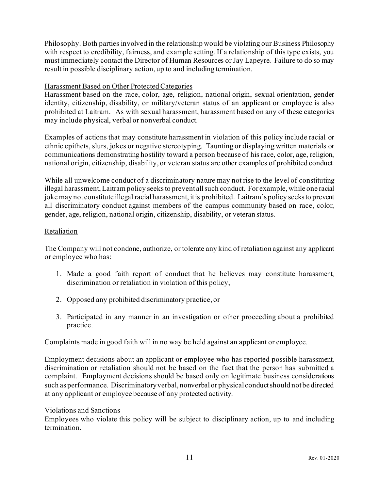Philosophy. Both parties involved in the relationship would be violating our Business Philosophy with respect to credibility, fairness, and example setting. If a relationship of this type exists, you must immediately contact the Director of Human Resources or Jay Lapeyre. Failure to do so may result in possible disciplinary action, up to and including termination.

#### Harassment Based on Other Protected Categories

Harassment based on the race, color, age, religion, national origin, sexual orientation, gender identity, citizenship, disability, or military/veteran status of an applicant or employee is also prohibited at Laitram. As with sexual harassment, harassment based on any of these categories may include physical, verbal or nonverbal conduct.

Examples of actions that may constitute harassment in violation of this policy include racial or ethnic epithets, slurs, jokes or negative stereotyping. Taunting or displaying written materials or communications demonstrating hostility toward a person because of his race, color, age, religion, national origin, citizenship, disability, or veteran status are other examples of prohibited conduct.

While all unwelcome conduct of a discriminatory nature may not rise to the level of constituting illegal harassment, Laitram policy seeks to prevent all such conduct. For example, while one racial joke may not constitute illegal racial harassment, it is prohibited. Laitram's policy seeks to prevent all discriminatory conduct against members of the campus community based on race, color, gender, age, religion, national origin, citizenship, disability, or veteran status.

#### Retaliation

The Company will not condone, authorize, or tolerate any kind of retaliation against any applicant or employee who has:

- 1. Made a good faith report of conduct that he believes may constitute harassment, discrimination or retaliation in violation of this policy,
- 2. Opposed any prohibited discriminatory practice, or
- 3. Participated in any manner in an investigation or other proceeding about a prohibited practice.

Complaints made in good faith will in no way be held against an applicant or employee.

Employment decisions about an applicant or employee who has reported possible harassment, discrimination or retaliation should not be based on the fact that the person has submitted a complaint. Employment decisions should be based only on legitimate business considerations such as performance. Discriminatory verbal, nonverbal or physical conduct should not be directed at any applicant or employee because of any protected activity.

#### Violations and Sanctions

Employees who violate this policy will be subject to disciplinary action, up to and including termination.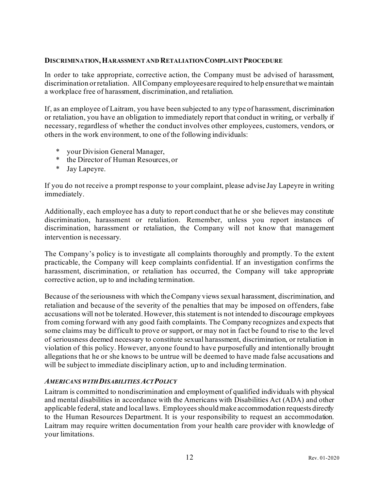#### **DISCRIMINATION,HARASSMENT AND RETALIATION COMPLAINT PROCEDURE**

In order to take appropriate, corrective action, the Company must be advised of harassment, discrimination or retaliation. All Company employees are required to help ensure that we maintain a workplace free of harassment, discrimination, and retaliation.

If, as an employee of Laitram, you have been subjected to any type of harassment, discrimination or retaliation, you have an obligation to immediately report that conduct in writing, or verbally if necessary, regardless of whether the conduct involves other employees, customers, vendors, or others in the work environment, to one of the following individuals:

- \* your Division General Manager,
- \* the Director of Human Resources, or
- \* Jay Lapeyre.

If you do not receive a prompt response to your complaint, please advise Jay Lapeyre in writing immediately.

Additionally, each employee has a duty to report conduct that he or she believes may constitute discrimination, harassment or retaliation. Remember, unless you report instances of discrimination, harassment or retaliation, the Company will not know that management intervention is necessary.

The Company's policy is to investigate all complaints thoroughly and promptly. To the extent practicable, the Company will keep complaints confidential. If an investigation confirms the harassment, discrimination, or retaliation has occurred, the Company will take appropriate corrective action, up to and including termination.

Because of the seriousness with which the Company views sexual harassment, discrimination, and retaliation and because of the severity of the penalties that may be imposed on offenders, false accusations will not be tolerated. However, this statement is not intended to discourage employees from coming forward with any good faith complaints. The Company recognizes and expects that some claims may be difficult to prove or support, or may not in fact be found to rise to the level of seriousness deemed necessary to constitute sexual harassment, discrimination, or retaliation in violation of this policy. However, anyone found to have purposefully and intentionally brought allegations that he or she knows to be untrue will be deemed to have made false accusations and will be subject to immediate disciplinary action, up to and including termination.

#### <span id="page-14-0"></span>*AMERICANS WITH DISABILITIES ACT POLICY*

Laitram is committed to nondiscrimination and employment of qualified individuals with physical and mental disabilities in accordance with the Americans with Disabilities Act (ADA) and other applicable federal, state and local laws. Employees should make accommodation requests directly to the Human Resources Department. It is your responsibility to request an accommodation. Laitram may require written documentation from your health care provider with knowledge of your limitations.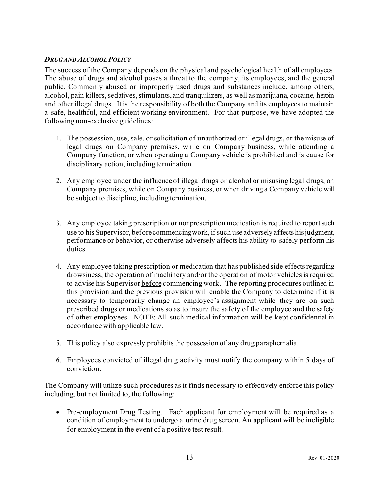#### <span id="page-15-0"></span>*DRUG AND ALCOHOL POLICY*

The success of the Company depends on the physical and psychological health of all employees. The abuse of drugs and alcohol poses a threat to the company, its employees, and the general public. Commonly abused or improperly used drugs and substances include, among others, alcohol, pain killers, sedatives, stimulants, and tranquilizers, as well as marijuana, cocaine, heroin and other illegal drugs. It is the responsibility of both the Company and its employees to maintain a safe, healthful, and efficient working environment. For that purpose, we have adopted the following non-exclusive guidelines:

- 1. The possession, use, sale, or solicitation of unauthorized or illegal drugs, or the misuse of legal drugs on Company premises, while on Company business, while attending a Company function, or when operating a Company vehicle is prohibited and is cause for disciplinary action, including termination.
- 2. Any employee under the influence of illegal drugs or alcohol or misusing legal drugs, on Company premises, while on Company business, or when driving a Company vehicle will be subject to discipline, including termination.
- 3. Any employee taking prescription or nonprescription medication is required to report such use to his Supervisor, beforecommencing work, if such use adversely affects his judgment, performance or behavior, or otherwise adversely affects his ability to safely perform his duties.
- 4. Any employee taking prescription or medication that has published side effects regarding drowsiness, the operation of machinery and/or the operation of motor vehicles is required to advise his Supervisor before commencing work. The reporting procedures outlined in this provision and the previous provision will enable the Company to determine if it is necessary to temporarily change an employee's assignment while they are on such prescribed drugs or medications so as to insure the safety of the employee and the safety of other employees. NOTE: All such medical information will be kept confidential in accordance with applicable law.
- 5. This policy also expressly prohibits the possession of any drug paraphernalia.
- 6. Employees convicted of illegal drug activity must notify the company within 5 days of conviction.

The Company will utilize such procedures as it finds necessary to effectively enforce this policy including, but not limited to, the following:

• Pre-employment Drug Testing. Each applicant for employment will be required as a condition of employment to undergo a urine drug screen. An applicant will be ineligible for employment in the event of a positive test result.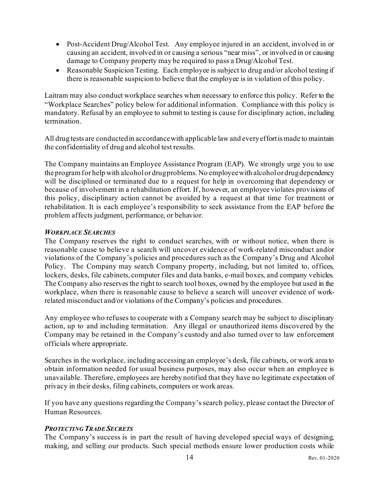- Post-Accident Drug/Alcohol Test. Any employee injured in an accident, involved in or causing an accident, involved in or causing a serious "near miss", or involved in or causing damage to Company property may be required to pass a Drug/Alcohol Test.
- Reasonable Suspicion Testing. Each employee is subject to drug and/or alcohol testing if there is reasonable suspicion to believe that the employee is in violation of this policy.

Laitram may also conduct workplace searches when necessary to enforce this policy. Refer to the "Workplace Searches" policy below for additional information. Compliance with this policy is mandatory. Refusal by an employee to submit to testing is cause for disciplinary action, including termination.

All drug tests are conducted in accordance with applicable law and every effort is made to maintain the confidentiality of drug and alcohol test results.

The Company maintains an Employee Assistance Program (EAP). We strongly urge you to use the program for help with alcohol or drug problems. No employee with alcohol or drug dependency will be disciplined or terminated due to a request for help in overcoming that dependency or because of involvement in a rehabilitation effort. If, however, an employee violates provisions of this policy, disciplinary action cannot be avoided by a request at that time for treatment or rehabilitation. It is each employee's responsibility to seek assistance from the EAP before the problem affects judgment, performance, or behavior.

#### <span id="page-16-0"></span>*WORKPLACE SEARCHES*

The Company reserves the right to conduct searches, with or without notice, when there is reasonable cause to believe a search will uncover evidence of work-related misconduct and/or violations of the Company's policies and procedures such as the Company's Drug and Alcohol Policy. The Company may search Company property, including, but not limited to, offices, lockers, desks, file cabinets, computer files and data banks, e-mail boxes, and company vehicles. The Company also reserves the right to search tool boxes, owned by the employee but used in the workplace, when there is reasonable cause to believe a search will uncover evidence of workrelated misconduct and/or violations of the Company's policies and procedures.

Any employee who refuses to cooperate with a Company search may be subject to disciplinary action, up to and including termination. Any illegal or unauthorized items discovered by the Company may be retained in the Company's custody and also turned over to law enforcement officials where appropriate.

Searches in the workplace, including accessing an employee's desk, file cabinets, or work area to obtain information needed for usual business purposes, may also occur when an employee is unavailable. Therefore, employees are hereby notified that they have no legitimate expectation of privacy in their desks, filing cabinets, computers or work areas.

If you have any questions regarding the Company's search policy, please contact the Director of Human Resources.

#### <span id="page-16-1"></span>*PROTECTING TRADE SECRETS*

The Company's success is in part the result of having developed special ways of designing, making, and selling our products. Such special methods ensure lower production costs while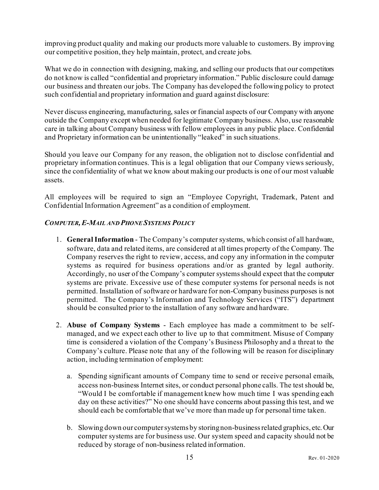improving product quality and making our products more valuable to customers. By improving our competitive position, they help maintain, protect, and create jobs.

What we do in connection with designing, making, and selling our products that our competitors do not know is called "confidential and proprietary information." Public disclosure could damage our business and threaten our jobs. The Company has developed the following policy to protect such confidential and proprietary information and guard against disclosure:

Never discuss engineering, manufacturing, sales or financial aspects of our Company with anyone outside the Company except when needed for legitimate Company business. Also, use reasonable care in talking about Company business with fellow employees in any public place. Confidential and Proprietary information can be unintentionally "leaked" in such situations.

Should you leave our Company for any reason, the obligation not to disclose confidential and proprietary information continues. This is a legal obligation that our Company views seriously, since the confidentiality of what we know about making our products is one of our most valuable assets.

All employees will be required to sign an "Employee Copyright, Trademark, Patent and Confidential Information Agreement" as a condition of employment.

#### <span id="page-17-0"></span>*COMPUTER,E-MAIL AND PHONE SYSTEMS POLICY*

- 1. **General Information** The Company's computer systems, which consist of all hardware, software, data and related items, are considered at all times property of the Company. The Company reserves the right to review, access, and copy any information in the computer systems as required for business operations and/or as granted by legal authority. Accordingly, no user of the Company's computer systems should expect that the computer systems are private. Excessive use of these computer systems for personal needs is not permitted. Installation of software or hardware for non-Company business purposes is not permitted. The Company's Information and Technology Services ("ITS") department should be consulted prior to the installation of any software and hardware.
- 2. **Abuse of Company Systems** Each employee has made a commitment to be selfmanaged, and we expect each other to live up to that commitment. Misuse of Company time is considered a violation of the Company's Business Philosophy and a threat to the Company's culture. Please note that any of the following will be reason for disciplinary action, including termination of employment:
	- a. Spending significant amounts of Company time to send or receive personal emails, access non-business Internet sites, or conduct personal phone calls. The test should be, "Would I be comfortable if management knew how much time I was spending each day on these activities?" No one should have concerns about passing this test, and we should each be comfortable that we've more than made up for personal time taken.
	- b. Slowing down our computer systems by storing non-business related graphics, etc. Our computer systems are for business use. Our system speed and capacity should not be reduced by storage of non-business related information.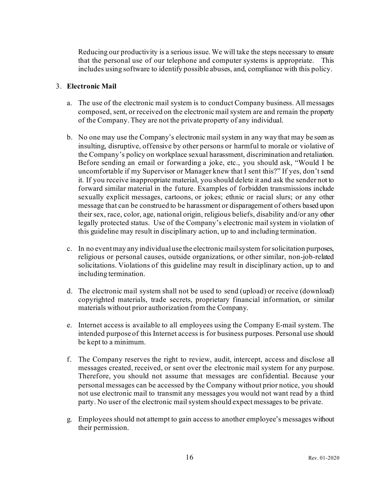Reducing our productivity is a serious issue. We will take the steps necessary to ensure that the personal use of our telephone and computer systems is appropriate. This includes using software to identify possible abuses, and, compliance with this policy.

#### 3. **Electronic Mail**

- a. The use of the electronic mail system is to conduct Company business. All messages composed, sent, or received on the electronic mail system are and remain the property of the Company. They are not the private property of any individual.
- b. No one may use the Company's electronic mail system in any way that may be seen as insulting, disruptive, offensive by other persons or harmful to morale or violative of the Company's policy on workplace sexual harassment, discrimination and retaliation. Before sending an email or forwarding a joke, etc., you should ask, "Would I be uncomfortable if my Supervisor or Manager knew that I sent this?" If yes, don't send it. If you receive inappropriate material, you should delete it and ask the sender not to forward similar material in the future. Examples of forbidden transmissions include sexually explicit messages, cartoons, or jokes; ethnic or racial slurs; or any other message that can be construed to be harassment or disparagement of others based upon their sex, race, color, age, national origin, religious beliefs, disability and/or any other legally protected status. Use of the Company's electronic mail system in violation of this guideline may result in disciplinary action, up to and including termination.
- c. In no event may any individual use the electronic mail system for solicitation purposes, religious or personal causes, outside organizations, or other similar, non-job-related solicitations. Violations of this guideline may result in disciplinary action, up to and including termination.
- d. The electronic mail system shall not be used to send (upload) or receive (download) copyrighted materials, trade secrets, proprietary financial information, or similar materials without prior authorization from the Company.
- e. Internet access is available to all employees using the Company E-mail system. The intended purpose of this Internet access is for business purposes. Personal use should be kept to a minimum.
- f. The Company reserves the right to review, audit, intercept, access and disclose all messages created, received, or sent over the electronic mail system for any purpose. Therefore, you should not assume that messages are confidential. Because your personal messages can be accessed by the Company without prior notice, you should not use electronic mail to transmit any messages you would not want read by a third party. No user of the electronic mail system should expect messages to be private.
- g. Employees should not attempt to gain access to another employee's messages without their permission.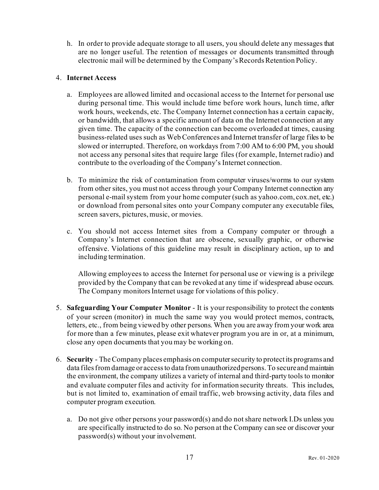h. In order to provide adequate storage to all users, you should delete any messages that are no longer useful. The retention of messages or documents transmitted through electronic mail will be determined by the Company's Records Retention Policy.

#### 4. **Internet Access**

- a. Employees are allowed limited and occasional access to the Internet for personal use during personal time. This would include time before work hours, lunch time, after work hours, weekends, etc. The Company Internet connection has a certain capacity, or bandwidth, that allows a specific amount of data on the Internet connection at any given time. The capacity of the connection can become overloaded at times, causing business-related uses such as Web Conferences and Internet transfer of large files to be slowed or interrupted. Therefore, on workdays from 7:00 AM to 6:00 PM, you should not access any personal sites that require large files (for example, Internet radio) and contribute to the overloading of the Company's Internet connection.
- b. To minimize the risk of contamination from computer viruses/worms to our system from other sites, you must not access through your Company Internet connection any personal e-mail system from your home computer (such as yahoo.com, cox.net, etc.) or download from personal sites onto your Company computer any executable files, screen savers, pictures, music, or movies.
- c. You should not access Internet sites from a Company computer or through a Company's Internet connection that are obscene, sexually graphic, or otherwise offensive. Violations of this guideline may result in disciplinary action, up to and including termination.

Allowing employees to access the Internet for personal use or viewing is a privilege provided by the Company that can be revoked at any time if widespread abuse occurs. The Company monitors Internet usage for violations of this policy.

- 5. **Safeguarding Your Computer Monitor** It is your responsibility to protect the contents of your screen (monitor) in much the same way you would protect memos, contracts, letters, etc., from being viewed by other persons. When you are away from your work area for more than a few minutes, please exit whatever program you are in or, at a minimum, close any open documents that you may be working on.
- 6. **Security** The Company places emphasis on computer security to protect its programs and data files from damage or access to data from unauthorized persons. To secure and maintain the environment, the company utilizes a variety of internal and third-party tools to monitor and evaluate computer files and activity for information security threats. This includes, but is not limited to, examination of email traffic, web browsing activity, data files and computer program execution.
	- a. Do not give other persons your password(s) and do not share network I.Ds unless you are specifically instructed to do so. No person at the Company can see or discover your password(s) without your involvement.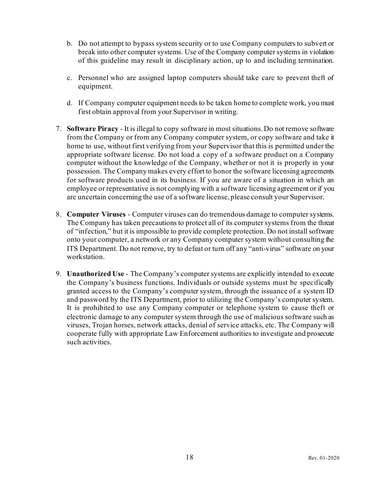- b. Do not attempt to bypass system security or to use Company computers to subvert or break into other computer systems. Use of the Company computer systems in violation of this guideline may result in disciplinary action, up to and including termination.
- c. Personnel who are assigned laptop computers should take care to prevent theft of equipment.
- d. If Company computer equipment needs to be taken home to complete work, you must first obtain approval from your Supervisor in writing.
- 7. **Software Piracy** It is illegal to copy software in most situations. Do not remove software from the Company or from any Company computer system, or copy software and take it home to use, without first verifying from your Supervisor that this is permitted under the appropriate software license. Do not load a copy of a software product on a Company computer without the knowledge of the Company, whether or not it is properly in your possession. The Company makes every effort to honor the software licensing agreements for software products used in its business. If you are aware of a situation in which an employee or representative is not complying with a software licensing agreement or if you are uncertain concerning the use of a software license, please consult your Supervisor.
- 8. **Computer Viruses** Computer viruses can do tremendous damage to computer systems. The Company has taken precautions to protect all of its computer systems from the threat of "infection," but it is impossible to provide complete protection. Do not install software onto your computer, a network or any Company computer system without consulting the ITS Department. Do not remove, try to defeat or turn off any "anti-virus" software on your workstation.
- 9. **Unauthorized Use** The Company's computer systems are explicitly intended to execute the Company's business functions. Individuals or outside systems must be specifically granted access to the Company's computer system, through the issuance of a system ID and password by the ITS Department, prior to utilizing the Company's computer system. It is prohibited to use any Company computer or telephone system to cause theft or electronic damage to any computer system through the use of malicious software such as viruses, Trojan horses, network attacks, denial of service attacks, etc. The Company will cooperate fully with appropriate Law Enforcement authorities to investigate and prosecute such activities.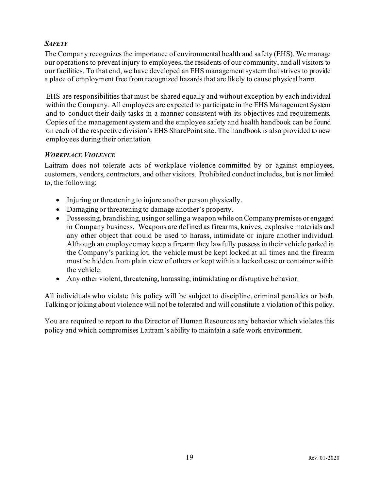#### <span id="page-21-0"></span>*SAFETY*

The Company recognizes the importance of environmental health and safety (EHS). We manage our operations to prevent injury to employees, the residents of our community, and all visitors to our facilities. To that end, we have developed an EHS management system that strives to provide a place of employment free from recognized hazards that are likely to cause physical harm.

EHS are responsibilities that must be shared equally and without exception by each individual within the Company. All employees are expected to participate in the EHS Management System and to conduct their daily tasks in a manner consistent with its objectives and requirements. Copies of the management system and the employee safety and health handbook can be found on each of the respective division's EHS SharePoint site. The handbook is also provided to new employees during their orientation.

#### <span id="page-21-1"></span>*WORKPLACE VIOLENCE*

Laitram does not tolerate acts of workplace violence committed by or against employees, customers, vendors, contractors, and other visitors. Prohibited conduct includes, but is not limited to, the following:

- Injuring or threatening to injure another person physically.
- Damaging or threatening to damage another's property.
- Possessing, brandishing, using or selling a weapon while on Company premises or engaged in Company business. Weapons are defined as firearms, knives, explosive materials and any other object that could be used to harass, intimidate or injure another individual. Although an employee may keep a firearm they lawfully possess in their vehicle parked in the Company's parking lot, the vehicle must be kept locked at all times and the firearm must be hidden from plain view of others or kept within a locked case or container within the vehicle.
- Any other violent, threatening, harassing, intimidating or disruptive behavior.

All individuals who violate this policy will be subject to discipline, criminal penalties or both. Talking or joking about violence will not be tolerated and will constitute a violation of this policy.

You are required to report to the Director of Human Resources any behavior which violates this policy and which compromises Laitram's ability to maintain a safe work environment.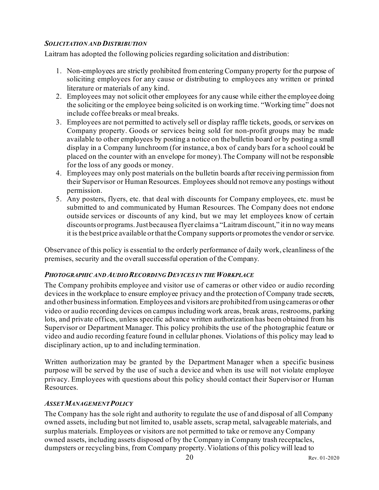#### <span id="page-22-0"></span>*SOLICITATION AND DISTRIBUTION*

Laitram has adopted the following policies regarding solicitation and distribution:

- 1. Non-employees are strictly prohibited from entering Company property for the purpose of soliciting employees for any cause or distributing to employees any written or printed literature or materials of any kind.
- 2. Employees may not solicit other employees for any cause while either the employee doing the soliciting or the employee being solicited is on working time. "Working time" does not include coffee breaks or meal breaks.
- 3. Employees are not permitted to actively sell or display raffle tickets, goods, or services on Company property. Goods or services being sold for non-profit groups may be made available to other employees by posting a notice on the bulletin board or by posting a small display in a Company lunchroom (for instance, a box of candy bars for a school could be placed on the counter with an envelope for money). The Company will not be responsible for the loss of any goods or money.
- 4. Employees may only post materials on the bulletin boards after receiving permission from their Supervisor or Human Resources. Employees should not remove any postings without permission.
- 5. Any posters, flyers, etc. that deal with discounts for Company employees, etc. must be submitted to and communicated by Human Resources. The Company does not endorse outside services or discounts of any kind, but we may let employees know of certain discounts or programs. Just because a flyer claims a "Laitram discount," it in no way means it is the best price available or that the Company supports or promotes the vendor or service.

Observance of this policy is essential to the orderly performance of daily work, cleanliness of the premises, security and the overall successful operation of the Company.

#### <span id="page-22-1"></span>*PHOTOGRAPHIC AND AUDIO RECORDING DEVICES IN THE WORKPLACE*

The Company prohibits employee and visitor use of cameras or other video or audio recording devices in the workplace to ensure employee privacy and the protection of Company trade secrets, and other business information. Employees and visitors are prohibited from using cameras or other video or audio recording devices on campus including work areas, break areas, restrooms, parking lots, and private offices, unless specific advance written authorization has been obtained from his Supervisor or Department Manager. This policy prohibits the use of the photographic feature or video and audio recording feature found in cellular phones. Violations of this policy may lead to disciplinary action, up to and including termination.

Written authorization may be granted by the Department Manager when a specific business purpose will be served by the use of such a device and when its use will not violate employee privacy. Employees with questions about this policy should contact their Supervisor or Human Resources.

#### <span id="page-22-2"></span>*ASSET MANAGEMENT POLICY*

The Company has the sole right and authority to regulate the use of and disposal of all Company owned assets, including but not limited to, usable assets, scrap metal, salvageable materials, and surplus materials. Employees or visitors are not permitted to take or remove any Company owned assets, including assets disposed of by the Company in Company trash receptacles, dumpsters or recycling bins, from Company property. Violations of this policy will lead to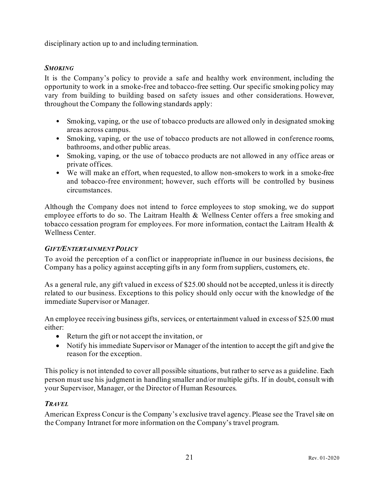disciplinary action up to and including termination.

#### <span id="page-23-0"></span>*SMOKING*

It is the Company's policy to provide a safe and healthy work environment, including the opportunity to work in a smoke-free and tobacco-free setting. Our specific smoking policy may vary from building to building based on safety issues and other considerations. However, throughout the Company the following standards apply:

- Smoking, vaping, or the use of tobacco products are allowed only in designated smoking areas across campus.
- Smoking, vaping, or the use of tobacco products are not allowed in conference rooms, bathrooms, and other public areas.
- Smoking, vaping, or the use of tobacco products are not allowed in any office areas or private offices.
- We will make an effort, when requested, to allow non-smokers to work in a smoke-free and tobacco-free environment; however, such efforts will be controlled by business circumstances.

Although the Company does not intend to force employees to stop smoking, we do support employee efforts to do so. The Laitram Health & Wellness Center offers a free smoking and tobacco cessation program for employees. For more information, contact the Laitram Health & Wellness Center.

#### <span id="page-23-1"></span>*GIFT/ENTERTAINMENT POLICY*

To avoid the perception of a conflict or inappropriate influence in our business decisions, the Company has a policy against accepting gifts in any form from suppliers, customers, etc.

As a general rule, any gift valued in excess of \$25.00 should not be accepted, unless it is directly related to our business. Exceptions to this policy should only occur with the knowledge of the immediate Supervisor or Manager.

An employee receiving business gifts, services, or entertainment valued in excess of \$25.00 must either:

- Return the gift or not accept the invitation, or
- Notify his immediate Supervisor or Manager of the intention to accept the gift and give the reason for the exception.

This policy is not intended to cover all possible situations, but rather to serve as a guideline. Each person must use his judgment in handling smaller and/or multiple gifts. If in doubt, consult with your Supervisor, Manager, or the Director of Human Resources.

#### <span id="page-23-2"></span>*TRAVEL*

American Express Concur is the Company's exclusive travel agency. Please see the Travel site on the Company Intranet for more information on the Company's travel program.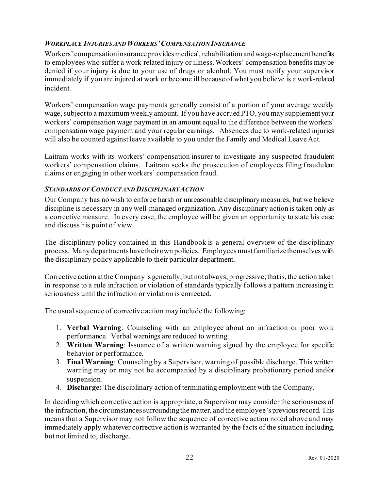#### <span id="page-24-0"></span>*WORKPLACE INJURIES AND WORKERS'COMPENSATION INSURANCE*

Workers' compensation insurance provides medical, rehabilitation and wage-replacement benefits to employees who suffer a work-related injury or illness. Workers' compensation benefits may be denied if your injury is due to your use of drugs or alcohol. You must notify your supervisor immediately if you are injured at work or become ill because of what you believe is a work-related incident.

Workers' compensation wage payments generally consist of a portion of your average weekly wage, subject to a maximum weekly amount. If you have accrued PTO, you may supplement your workers' compensation wage payment in an amount equal to the difference between the workers' compensation wage payment and your regular earnings. Absences due to work-related injuries will also be counted against leave available to you under the Family and Medical Leave Act.

Laitram works with its workers' compensation insurer to investigate any suspected fraudulent workers' compensation claims. Laitram seeks the prosecution of employees filing fraudulent claims or engaging in other workers' compensation fraud.

#### <span id="page-24-1"></span>*STANDARDS OF CONDUCT AND DISCIPLINARY ACTION*

Our Company has no wish to enforce harsh or unreasonable disciplinary measures, but we believe discipline is necessary in any well-managed organization. Any disciplinary action is taken only as a corrective measure. In every case, the employee will be given an opportunity to state his case and discuss his point of view.

The disciplinary policy contained in this Handbook is a general overview of the disciplinary process. Many departments have their own policies. Employees must familiarize themselves with the disciplinary policy applicable to their particular department.

Corrective action at the Company is generally, but not always, progressive; that is, the action taken in response to a rule infraction or violation of standards typically follows a pattern increasing in seriousness until the infraction or violation is corrected.

The usual sequence of corrective action may include the following:

- 1. **Verbal Warning**: Counseling with an employee about an infraction or poor work performance. Verbal warnings are reduced to writing.
- 2. **Written Warning**: Issuance of a written warning signed by the employee for specific behavior or performance.
- 3. **Final Warning**: Counseling by a Supervisor, warning of possible discharge. This written warning may or may not be accompanied by a disciplinary probationary period and/or suspension.
- 4. **Discharge:** The disciplinary action of terminating employment with the Company.

In deciding which corrective action is appropriate, a Supervisor may consider the seriousness of the infraction, the circumstances surrounding the matter, and the employee's previous record. This means that a Supervisor may not follow the sequence of corrective action noted above and may immediately apply whatever corrective action is warranted by the facts of the situation including, but not limited to, discharge.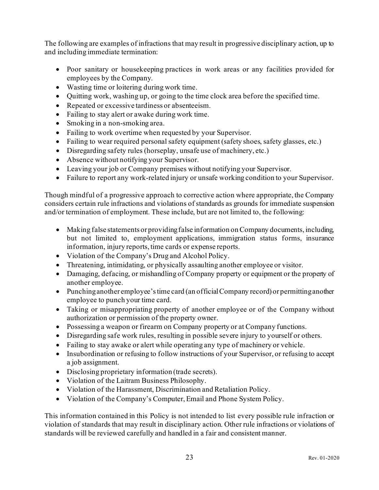The following are examples of infractions that may result in progressive disciplinary action, up to and including immediate termination:

- Poor sanitary or housekeeping practices in work areas or any facilities provided for employees by the Company.
- Wasting time or loitering during work time.
- Quitting work, washing up, or going to the time clock area before the specified time.
- Repeated or excessive tardiness or absenteeism.
- Failing to stay alert or awake during work time.
- Smoking in a non-smoking area.
- Failing to work overtime when requested by your Supervisor.
- Failing to wear required personal safety equipment (safety shoes, safety glasses, etc.)
- Disregarding safety rules (horseplay, unsafe use of machinery, etc.)
- Absence without notifying your Supervisor.
- Leaving your job or Company premises without notifying your Supervisor.
- Failure to report any work-related injury or unsafe working condition to your Supervisor.

Though mindful of a progressive approach to corrective action where appropriate, the Company considers certain rule infractions and violations of standards as grounds for immediate suspension and/or termination of employment. These include, but are not limited to, the following:

- Making false statements or providing false information on Company documents, including, but not limited to, employment applications, immigration status forms, insurance information, injury reports, time cards or expense reports.
- Violation of the Company's Drug and Alcohol Policy.
- Threatening, intimidating, or physically assaulting another employee or visitor.
- Damaging, defacing, or mishandling of Company property or equipment or the property of another employee.
- Punching another employee's time card (an official Company record) or permitting another employee to punch your time card.
- Taking or misappropriating property of another employee or of the Company without authorization or permission of the property owner.
- Possessing a weapon or firearm on Company property or at Company functions.
- Disregarding safe work rules, resulting in possible severe injury to yourself or others.
- Failing to stay awake or alert while operating any type of machinery or vehicle.
- Insubordination or refusing to follow instructions of your Supervisor, or refusing to accept a job assignment.
- Disclosing proprietary information (trade secrets).
- Violation of the Laitram Business Philosophy.
- Violation of the Harassment, Discrimination and Retaliation Policy.
- Violation of the Company's Computer, Email and Phone System Policy.

This information contained in this Policy is not intended to list every possible rule infraction or violation of standards that may result in disciplinary action. Other rule infractions or violations of standards will be reviewed carefully and handled in a fair and consistent manner.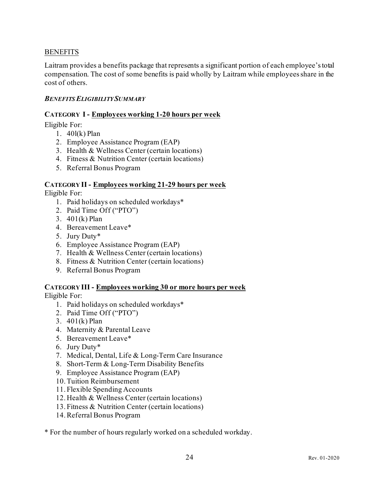#### <span id="page-26-0"></span>**BENEFITS**

Laitram provides a benefits package that represents a significant portion of each employee's total compensation. The cost of some benefits is paid wholly by Laitram while employees share in the cost of others.

#### <span id="page-26-1"></span>*BENEFITS ELIGIBILITY SUMMARY*

#### **CATEGORY I - Employees working 1-20 hours per week**

Eligible For:

- 1. 40l(k) Plan
- 2. Employee Assistance Program (EAP)
- 3. Health & Wellness Center (certain locations)
- 4. Fitness & Nutrition Center (certain locations)
- 5. Referral Bonus Program

#### **CATEGORY II - Employees working 21-29 hours per week** Eligible For:

- 1. Paid holidays on scheduled workdays\*
- 2. Paid Time Off ("PTO")
- 3. 401(k) Plan
- 4. Bereavement Leave\*
- 5. Jury Duty\*
- 6. Employee Assistance Program (EAP)
- 7. Health & Wellness Center (certain locations)
- 8. Fitness & Nutrition Center (certain locations)
- 9. Referral Bonus Program

#### **CATEGORY III - Employees working 30 or more hours per week** Eligible For:

- 1. Paid holidays on scheduled workdays\*
- 2. Paid Time Off ("PTO")
- 3. 401(k) Plan
- 4. Maternity & Parental Leave
- 5. Bereavement Leave\*
- 6. Jury Duty\*
- 7. Medical, Dental, Life & Long-Term Care Insurance
- 8. Short-Term & Long-Term Disability Benefits
- 9. Employee Assistance Program (EAP)
- 10.Tuition Reimbursement
- 11. Flexible Spending Accounts
- 12. Health & Wellness Center (certain locations)
- 13. Fitness & Nutrition Center (certain locations)
- 14.Referral Bonus Program

\* For the number of hours regularly worked on a scheduled workday.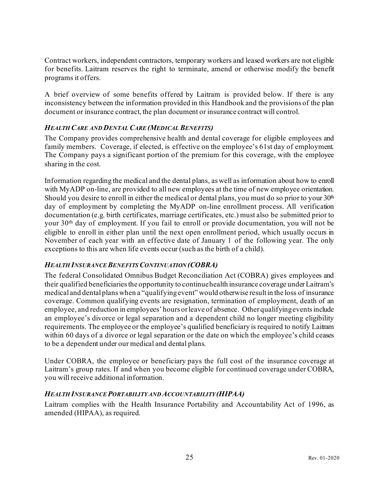Contract workers, independent contractors, temporary workers and leased workers are not eligible for benefits. Laitram reserves the right to terminate, amend or otherwise modify the benefit programs it offers.

A brief overview of some benefits offered by Laitram is provided below. If there is any inconsistency between the information provided in this Handbook and the provisions of the plan document or insurance contract, the plan document or insurance contract will control.

#### <span id="page-27-0"></span>*HEALTH CARE AND DENTAL CARE (MEDICAL BENEFITS)*

The Company provides comprehensive health and dental coverage for eligible employees and family members. Coverage, if elected, is effective on the employee's 61st day of employment. The Company pays a significant portion of the premium for this coverage, with the employee sharing in the cost.

Information regarding the medical and the dental plans, as well as information about how to enroll with MyADP on-line, are provided to all new employees at the time of new employee orientation. Should you desire to enroll in either the medical or dental plans, you must do so prior to your  $30<sup>th</sup>$ day of employment by completing the MyADP on-line enrollment process. All verification documentation (e.g. birth certificates, marriage certificates, etc.) must also be submitted prior to your 30th day of employment. If you fail to enroll or provide documentation, you will not be eligible to enroll in either plan until the next open enrollment period, which usually occurs in November of each year with an effective date of January 1 of the following year. The only exceptions to this are when life events occur (such as the birth of a child).

#### <span id="page-27-1"></span>*HEALTH INSURANCE BENEFITSCONTINUATION (COBRA)*

The federal Consolidated Omnibus Budget Reconciliation Act (COBRA) gives employees and their qualified beneficiaries the opportunity to continue health insurance coverage under Laitram's medical and dental plans when a "qualifyingevent" would otherwise result in the loss of insurance coverage. Common qualifying events are resignation, termination of employment, death of an employee, and reduction in employees' hours or leave of absence. Other qualifying events include an employee's divorce or legal separation and a dependent child no longer meeting eligibility requirements. The employee or the employee's qualified beneficiary is required to notify Laitram within 60 days of a divorce or legal separation or the date on which the employee's child ceases to be a dependent under our medical and dental plans.

Under COBRA, the employee or beneficiary pays the full cost of the insurance coverage at Laitram's group rates. If and when you become eligible for continued coverage under COBRA, you will receive additional information.

#### <span id="page-27-2"></span>*HEALTH INSURANCE PORTABILITY AND ACCOUNTABILITY (HIPAA)*

Laitram complies with the Health Insurance Portability and Accountability Act of 1996, as amended (HIPAA), as required.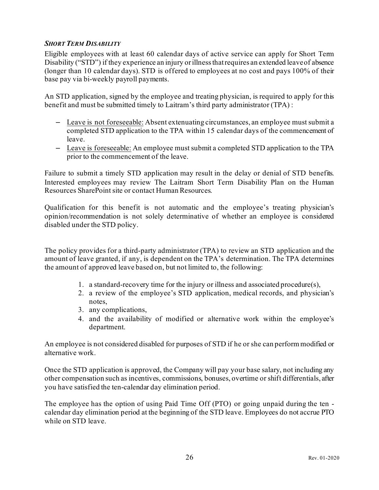#### <span id="page-28-0"></span>*SHORT TERM DISABILITY*

<span id="page-28-1"></span>Eligible employees with at least 60 calendar days of active service can apply for Short Term Disability ("STD") if they experience an injury or illness that requires an extended leave of absence (longer than 10 calendar days). STD is offered to employees at no cost and pays 100% of their base pay via bi-weekly payroll payments.

An STD application, signed by the employee and treating physician, is required to apply for this benefit and must be submitted timely to Laitram's third party administrator (TPA) :

- Leave is not foreseeable: Absent extenuating circumstances, an employee must submit a completed STD application to the TPA within 15 calendar days of the commencement of leave.
- Leave is foreseeable: An employee must submit a completed STD application to the TPA prior to the commencement of the leave.

Failure to submit a timely STD application may result in the delay or denial of STD benefits. Interested employees may review The Laitram Short Term Disability Plan on the Human Resources SharePoint site or contact Human Resources.

Qualification for this benefit is not automatic and the employee's treating physician's opinion/recommendation is not solely determinative of whether an employee is considered disabled under the STD policy.

The policy provides for a third-party administrator (TPA) to review an STD application and the amount of leave granted, if any, is dependent on the TPA's determination. The TPA determines the amount of approved leave based on, but not limited to, the following:

- 1. a standard-recovery time for the injury or illness and associated procedure(s),
- 2. a review of the employee's STD application, medical records, and physician's notes,
- 3. any complications,
- 4. and the availability of modified or alternative work within the employee's department.

An employee is not considered disabled for purposes of STD if he or she can perform modified or alternative work.

Once the STD application is approved, the Company will pay your base salary, not including any other compensation such as incentives, commissions, bonuses, overtime or shift differentials, after you have satisfied the ten-calendar day elimination period.

The employee has the option of using Paid Time Off (PTO) or going unpaid during the ten calendar day elimination period at the beginning of the STD leave. Employees do not accrue PTO while on STD leave.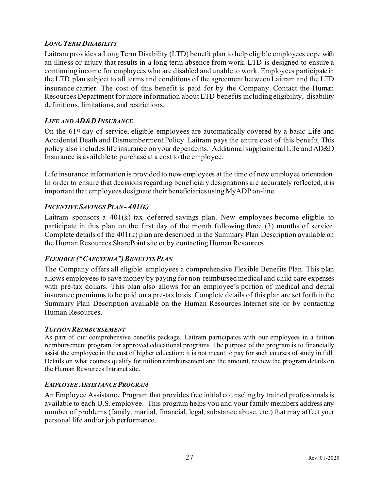#### *LONG TERM DISABILITY*

Laitram provides a Long Term Disability (LTD) benefit plan to help eligible employees cope with an illness or injury that results in a long term absence from work. LTD is designed to ensure a continuing income for employees who are disabled and unable to work. Employees participate in the LTD plan subject to all terms and conditions of the agreement between Laitram and the LTD insurance carrier. The cost of this benefit is paid for by the Company. Contact the Human Resources Department for more information about LTD benefits including eligibility, disability definitions, limitations, and restrictions.

#### <span id="page-29-0"></span>*LIFE AND AD&DINSURANCE*

On the 61<sup>st</sup> day of service, eligible employees are automatically covered by a basic Life and Accidental Death and Dismemberment Policy. Laitram pays the entire cost of this benefit. This policy also includes life insurance on your dependents. Additional supplemental Life and AD&D Insurance is available to purchase at a cost to the employee.

Life insurance information is provided to new employees at the time of new employee orientation. In order to ensure that decisions regarding beneficiary designations are accurately reflected, it is important that employees designate their beneficiaries using MyADP on-line.

#### <span id="page-29-1"></span>*INCENTIVE SAVINGS PLAN - 401(K)*

Laitram sponsors a 401(k) tax deferred savings plan. New employees become eligible to participate in this plan on the first day of the month following three (3) months of service. Complete details of the 401(k) plan are described in the Summary Plan Description available on the Human Resources SharePoint site or by contacting Human Resources.

#### <span id="page-29-2"></span>*FLEXIBLE ("CAFETERIA")BENEFITS PLAN*

The Company offers all eligible employees a comprehensive Flexible Benefits Plan. This plan allows employees to save money by paying for non-reimbursed medical and child care expenses with pre-tax dollars. This plan also allows for an employee's portion of medical and dental insurance premiums to be paid on a pre-tax basis. Complete details of this plan are set forth in the Summary Plan Description available on the Human Resources Internet site or by contacting Human Resources.

#### <span id="page-29-3"></span>*TUITION REIMBURSEMENT*

As part of our comprehensive benefits package, Laitram participates with our employees in a tuition reimbursement program for approved educational programs. The purpose of the program is to financially assist the employee in the cost of higher education; it is not meant to pay for such courses of study in full. Details on what courses qualify for tuition reimbursement and the amount, review the program details on the Human Resources Intranet site.

#### <span id="page-29-4"></span>*EMPLOYEE ASSISTANCE PROGRAM*

An Employee Assistance Program that provides free initial counseling by trained professionals is available to each U.S. employee. This program helps you and your family members address any number of problems (family, marital, financial, legal, substance abuse, etc.) that may affect your personal life and/or job performance.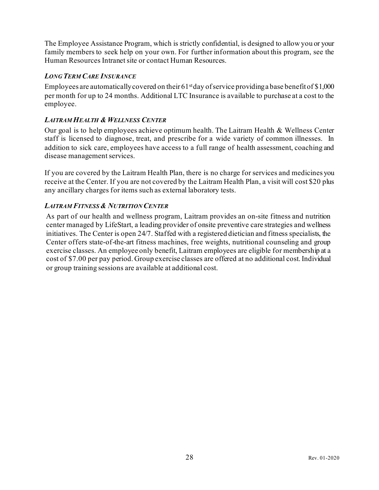The Employee Assistance Program, which is strictly confidential, is designed to allow you or your family members to seek help on your own. For further information about this program, see the Human Resources Intranet site or contact Human Resources.

#### <span id="page-30-0"></span>*LONG TERM CARE INSURANCE*

Employees are automatically covered on their  $61<sup>st</sup>$ day of service providing a base benefit of \$1,000 per month for up to 24 months. Additional LTC Insurance is available to purchase at a cost to the employee.

#### <span id="page-30-1"></span>*LAITRAM HEALTH & WELLNESS CENTER*

Our goal is to help employees achieve optimum health. The Laitram Health & Wellness Center staff is licensed to diagnose, treat, and prescribe for a wide variety of common illnesses. In addition to sick care, employees have access to a full range of health assessment, coaching and disease management services.

If you are covered by the Laitram Health Plan, there is no charge for services and medicines you receive at the Center. If you are not covered by the Laitram Health Plan, a visit will cost \$20 plus any ancillary charges for items such as external laboratory tests.

#### <span id="page-30-2"></span>*LAITRAM FITNESS & NUTRITION CENTER*

As part of our health and wellness program, Laitram provides an on-site fitness and nutrition center managed by LifeStart, a leading provider of onsite preventive care strategies and wellness initiatives. The Center is open 24/7. Staffed with a registered dietician and fitness specialists, the Center offers state-of-the-art fitness machines, free weights, nutritional counseling and group exercise classes. An employee only benefit, Laitram employees are eligible for membership at a cost of \$7.00 per pay period. Group exercise classes are offered at no additional cost.Individual or group training sessions are available at additional cost.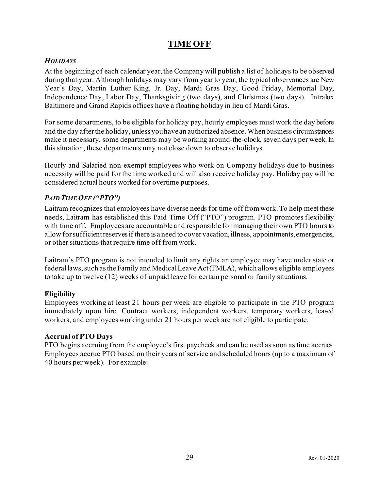# **TIME OFF**

#### <span id="page-31-1"></span><span id="page-31-0"></span>*HOLIDAYS*

At the beginning of each calendar year, the Company will publish a list of holidays to be observed during that year. Although holidays may vary from year to year, the typical observances are New Year's Day, Martin Luther King, Jr. Day, Mardi Gras Day, Good Friday, Memorial Day, Independence Day, Labor Day, Thanksgiving (two days), and Christmas (two days). Intralox Baltimore and Grand Rapids offices have a floating holiday in lieu of Mardi Gras.

For some departments, to be eligible for holiday pay, hourly employees must work the day before and the day after the holiday, unless you have an authorized absence. When business circumstances make it necessary, some departments may be working around-the-clock, seven days per week. In this situation, these departments may not close down to observe holidays.

Hourly and Salaried non-exempt employees who work on Company holidays due to business necessity will be paid for the time worked and will also receive holiday pay. Holiday pay will be considered actual hours worked for overtime purposes.

#### <span id="page-31-2"></span>*PAID TIME OFF ("PTO")*

Laitram recognizes that employees have diverse needs for time off from work. To help meet these needs, Laitram has established this Paid Time Off ("PTO") program. PTO promotes flexibility with time off. Employees are accountable and responsible for managing their own PTO hours to allow for sufficient reserves if there is a need to cover vacation, illness, appointments, emergencies, or other situations that require time off from work.

Laitram's PTO program is not intended to limit any rights an employee may have under state or federal laws, such as the Family and Medical Leave Act (FMLA), which allows eligible employees to take up to twelve (12) weeks of unpaid leave for certain personal or family situations.

#### **Eligibility**

Employees working at least 21 hours per week are eligible to participate in the PTO program immediately upon hire. Contract workers, independent workers, temporary workers, leased workers, and employees working under 21 hours per week are not eligible to participate.

#### **Accrual of PTO Days**

PTO begins accruing from the employee's first paycheck and can be used as soon as time accrues. Employees accrue PTO based on their years of service and scheduled hours (up to a maximum of 40 hours per week). For example: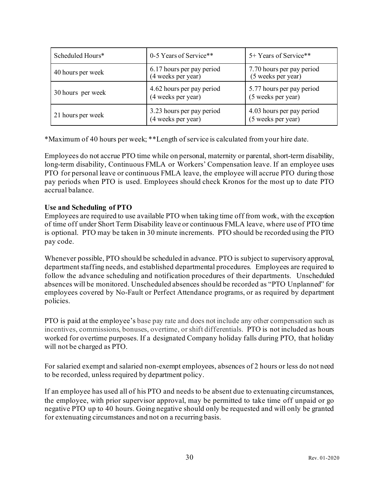| Scheduled Hours*  | 0-5 Years of Service**                          | 5+ Years of Service**                           |
|-------------------|-------------------------------------------------|-------------------------------------------------|
| 40 hours per week | 6.17 hours per pay period<br>(4 weeks per year) | 7.70 hours per pay period<br>(5 weeks per year) |
| 30 hours per week | 4.62 hours per pay period<br>(4 weeks per year) | 5.77 hours per pay period<br>(5 weeks per year) |
| 21 hours per week | 3.23 hours per pay period<br>(4 weeks per year) | 4.03 hours per pay period<br>(5 weeks per year) |

\*Maximum of 40 hours per week; \*\*Length of service is calculated from your hire date.

Employees do not accrue PTO time while on personal, maternity or parental, short-term disability, long-term disability, Continuous FMLA or Workers' Compensation leave. If an employee uses PTO for personal leave or continuous FMLA leave, the employee will accrue PTO during those pay periods when PTO is used. Employees should check Kronos for the most up to date PTO accrual balance.

#### **Use and Scheduling of PTO**

Employees are required to use available PTO when taking time off from work, with the exception of time off under Short Term Disability leave or continuous FMLA leave, where use of PTO time is optional. PTO may be taken in 30 minute increments. PTO should be recorded using the PTO pay code.

Whenever possible, PTO should be scheduled in advance. PTO is subject to supervisory approval, department staffing needs, and established departmental procedures. Employees are required to follow the advance scheduling and notification procedures of their departments. Unscheduled absences will be monitored. Unscheduled absences should be recorded as "PTO Unplanned" for employees covered by No-Fault or Perfect Attendance programs, or as required by department policies.

PTO is paid at the employee's base pay rate and does not include any other compensation such as incentives, commissions, bonuses, overtime, or shift differentials. PTO is not included as hours worked for overtime purposes. If a designated Company holiday falls during PTO, that holiday will not be charged as PTO.

For salaried exempt and salaried non-exempt employees, absences of 2 hours or less do not need to be recorded, unless required by department policy.

If an employee has used all of his PTO and needs to be absent due to extenuating circumstances, the employee, with prior supervisor approval, may be permitted to take time off unpaid or go negative PTO up to 40 hours. Going negative should only be requested and will only be granted for extenuating circumstances and not on a recurring basis.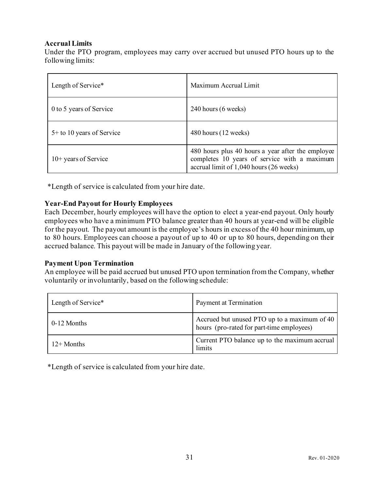#### **Accrual Limits**

Under the PTO program, employees may carry over accrued but unused PTO hours up to the following limits:

| Length of Service*          | Maximum Accrual Limit                                                                                                                        |
|-----------------------------|----------------------------------------------------------------------------------------------------------------------------------------------|
| 0 to 5 years of Service     | 240 hours (6 weeks)                                                                                                                          |
| $5+$ to 10 years of Service | 480 hours (12 weeks)                                                                                                                         |
| $10+$ years of Service      | 480 hours plus 40 hours a year after the employee<br>completes 10 years of service with a maximum<br>accrual limit of 1,040 hours (26 weeks) |

\*Length of service is calculated from your hire date.

#### **Year-End Payout for Hourly Employees**

Each December, hourly employees will have the option to elect a year-end payout. Only hourly employees who have a minimum PTO balance greater than 40 hours at year-end will be eligible for the payout. The payout amount is the employee's hours in excess of the 40 hour minimum, up to 80 hours. Employees can choose a payout of up to 40 or up to 80 hours, depending on their accrued balance. This payout will be made in January of the following year.

#### **Payment Upon Termination**

An employee will be paid accrued but unused PTO upon termination from the Company, whether voluntarily or involuntarily, based on the following schedule:

| Length of Service* | Payment at Termination                                                                    |
|--------------------|-------------------------------------------------------------------------------------------|
| 0-12 Months        | Accrued but unused PTO up to a maximum of 40<br>hours (pro-rated for part-time employees) |
| $12+$ Months       | Current PTO balance up to the maximum accrual<br>limits                                   |

\*Length of service is calculated from your hire date.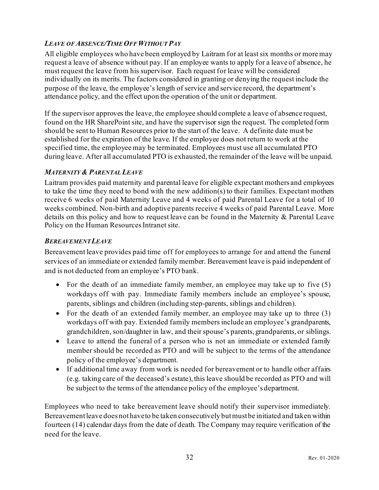#### <span id="page-34-0"></span>*LEAVE OF ABSENCE/TIME OFF WITHOUT PAY*

<span id="page-34-1"></span>All eligible employees who have been employed by Laitram for at least six months or more may request a leave of absence without pay. If an employee wants to apply for a leave of absence, he must request the leave from his supervisor. Each request for leave will be considered individually on its merits. The factors considered in granting or denying the request include the purpose of the leave, the employee's length of service and service record, the department's attendance policy, and the effect upon the operation of the unit or department.

If the supervisor approves the leave, the employee should complete a leave of absence request, found on the HR SharePoint site, and have the supervisor sign the request. The completed form should be sent to Human Resources prior to the start of the leave. A definite date must be established for the expiration of the leave. If the employee does not return to work at the specified time, the employee may be terminated. Employees must use all accumulated PTO during leave. After all accumulated PTO is exhausted, the remainder of the leave will be unpaid.

#### *MATERNITY & PARENTAL LEAVE*

Laitram provides paid maternity and parental leave for eligible expectant mothers and employees to take the time they need to bond with the new addition(s) to their families. Expectant mothers receive 6 weeks of paid Maternity Leave and 4 weeks of paid Parental Leave for a total of 10 weeks combined. Non-birth and adoptive parents receive 4 weeks of paid Parental Leave. More details on this policy and how to request leave can be found in the Maternity & Parental Leave Policy on the Human Resources Intranet site.

#### <span id="page-34-2"></span>*BEREAVEMENTLEAVE*

Bereavement leave provides paid time off for employees to arrange for and attend the funeral services of an immediate or extended family member. Bereavement leave is paid independent of and is not deducted from an employee's PTO bank.

- For the death of an immediate family member, an employee may take up to five (5) workdays off with pay. Immediate family members include an employee's spouse, parents, siblings and children (including step-parents, siblings and children).
- For the death of an extended family member, an employee may take up to three (3) workdays off with pay. Extended family members include an employee's grandparents, grandchildren, son/daughter in law, and their spouse's parents, grandparents, or siblings.
- Leave to attend the funeral of a person who is not an immediate or extended family member should be recorded as PTO and will be subject to the terms of the attendance policy of the employee's department.
- If additional time away from work is needed for bereavement or to handle other affairs (e.g. taking care of the deceased's estate), this leave should be recorded as PTO and will be subject to the terms of the attendance policy of the employee's department.

Employees who need to take bereavement leave should notify their supervisor immediately. Bereavement leave does not have to be taken consecutively but must be initiated and taken within fourteen (14) calendar days from the date of death. The Company may require verification of the need for the leave.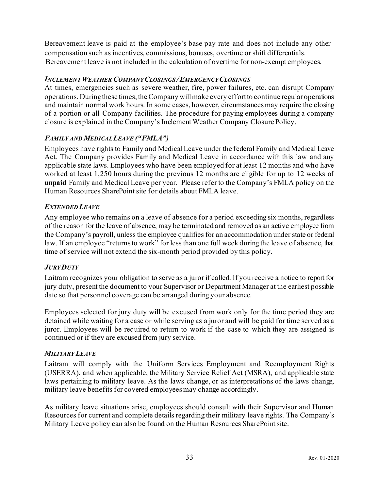Bereavement leave is paid at the employee's base pay rate and does not include any other compensation such as incentives, commissions, bonuses, overtime or shift differentials. Bereavement leave is not included in the calculation of overtime for non-exempt employees.

#### <span id="page-35-0"></span>*INCLEMENT WEATHER COMPANY CLOSINGS /EMERGENCY CLOSINGS*

At times, emergencies such as severe weather, fire, power failures, etc. can disrupt Company operations. During these times, the Company will make every effort to continue regular operations and maintain normal work hours. In some cases, however, circumstances may require the closing of a portion or all Company facilities. The procedure for paying employees during a company closure is explained in the Company's Inclement Weather Company Closure Policy.

#### <span id="page-35-1"></span>*FAMILY AND MEDICAL LEAVE ("FMLA")*

Employees have rights to Family and Medical Leave under the federal Family and Medical Leave Act. The Company provides Family and Medical Leave in accordance with this law and any applicable state laws. Employees who have been employed for at least 12 months and who have worked at least 1,250 hours during the previous 12 months are eligible for up to 12 weeks of **unpaid** Family and Medical Leave per year. Please refer to the Company's FMLA policy on the Human Resources SharePoint site for details about FMLA leave.

#### <span id="page-35-2"></span>*EXTENDED LEAVE*

Any employee who remains on a leave of absence for a period exceeding six months, regardless of the reason for the leave of absence, may be terminated and removed as an active employee from the Company's payroll, unless the employee qualifies for an accommodation under state or federal law. If an employee "returns to work" for less than one full week during the leave of absence, that time of service will not extend the six-month period provided by this policy.

#### <span id="page-35-3"></span>*JURY DUTY*

Laitram recognizes your obligation to serve as a juror if called. If you receive a notice to report for jury duty, present the document to your Supervisor or Department Manager at the earliest possible date so that personnel coverage can be arranged during your absence.

Employees selected for jury duty will be excused from work only for the time period they are detained while waiting for a case or while serving as a juror and will be paid for time served as a juror. Employees will be required to return to work if the case to which they are assigned is continued or if they are excused from jury service.

#### <span id="page-35-4"></span>*MILITARY LEAVE*

Laitram will comply with the Uniform Services Employment and Reemployment Rights (USERRA), and when applicable, the Military Service Relief Act (MSRA), and applicable state laws pertaining to military leave. As the laws change, or as interpretations of the laws change, military leave benefits for covered employees may change accordingly.

As military leave situations arise, employees should consult with their Supervisor and Human Resources for current and complete details regarding their military leave rights. The Company's Military Leave policy can also be found on the Human Resources SharePoint site.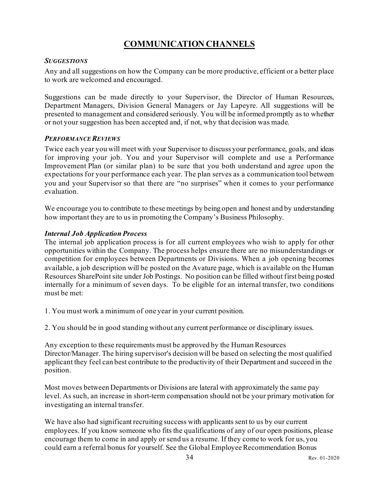# **COMMUNICATION CHANNELS**

#### <span id="page-36-1"></span><span id="page-36-0"></span>*SUGGESTIONS*

Any and all suggestions on how the Company can be more productive, efficient or a better place to work are welcomed and encouraged.

Suggestions can be made directly to your Supervisor, the Director of Human Resources, Department Managers, Division General Managers or Jay Lapeyre. All suggestions will be presented to management and considered seriously. You will be informed promptly as to whether or not your suggestion has been accepted and, if not, why that decision was made.

#### <span id="page-36-2"></span>*PERFORMANCE REVIEWS*

Twice each year you will meet with your Supervisor to discuss your performance, goals, and ideas for improving your job. You and your Supervisor will complete and use a Performance Improvement Plan (or similar plan) to be sure that you both understand and agree upon the expectations for your performance each year. The plan serves as a communication tool between you and your Supervisor so that there are "no surprises" when it comes to your performance evaluation.

We encourage you to contribute to these meetings by being open and honest and by understanding how important they are to us in promoting the Company's Business Philosophy.

#### *Internal Job Application Process*

The internal job application process is for all current employees who wish to apply for other opportunities within the Company. The process helps ensure there are no misunderstandings or competition for employees between Departments or Divisions. When a job opening becomes available, a job description will be posted on the Avature page, which is available on the Human Resources SharePoint site under Job Postings. No position can be filled without first being posted internally for a minimum of seven days. To be eligible for an internal transfer, two conditions must be met:

1. You must work a minimum of one year in your current position.

2. You should be in good standing without any current performance or disciplinary issues.

Any exception to these requirements must be approved by the Human Resources Director/Manager. The hiring supervisor's decision will be based on selecting the most qualified applicant they feel can best contribute to the productivity of their Department and succeed in the position.

Most moves between Departments or Divisions are lateral with approximately the same pay level. As such, an increase in short-term compensation should not be your primary motivation for investigating an internal transfer.

We have also had significant recruiting success with applicants sent to us by our current employees. If you know someone who fits the qualifications of any of our open positions, please encourage them to come in and apply or send us a resume. If they come to work for us, you could earn a referral bonus for yourself. See the Global Employee Recommendation Bonus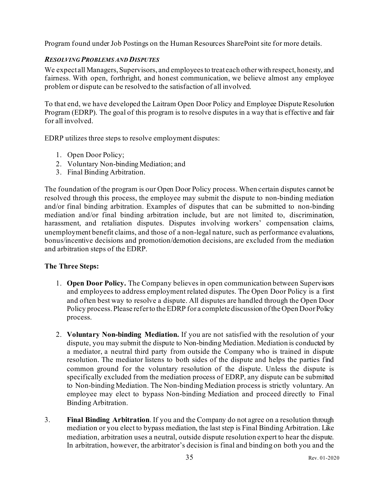<span id="page-37-0"></span>Program found under Job Postings on the Human Resources SharePoint site for more details.

#### *RESOLVING PROBLEMS AND DISPUTES*

We expect all Managers, Supervisors, and employees to treat each other with respect, honesty, and fairness. With open, forthright, and honest communication, we believe almost any employee problem or dispute can be resolved to the satisfaction of all involved.

To that end, we have developed the Laitram Open Door Policy and Employee Dispute Resolution Program (EDRP). The goal of this program is to resolve disputes in a way that is effective and fair for all involved.

EDRP utilizes three steps to resolve employment disputes:

- 1. Open Door Policy;
- 2. Voluntary Non-binding Mediation; and
- 3. Final Binding Arbitration.

The foundation of the program is our Open Door Policy process. When certain disputes cannot be resolved through this process, the employee may submit the dispute to non-binding mediation and/or final binding arbitration. Examples of disputes that can be submitted to non-binding mediation and/or final binding arbitration include, but are not limited to, discrimination, harassment, and retaliation disputes. Disputes involving workers' compensation claims, unemployment benefit claims, and those of a non-legal nature, such as performance evaluations, bonus/incentive decisions and promotion/demotion decisions, are excluded from the mediation and arbitration steps of the EDRP.

#### **The Three Steps:**

- 1. **Open Door Policy.** The Company believes in open communication between Supervisors and employees to address employment related disputes. The Open Door Policy is a first and often best way to resolve a dispute. All disputes are handled through the Open Door Policy process. Please refer to the EDRP for a complete discussion of the Open Door Policy process.
- 2. **Voluntary Non-binding Mediation.** If you are not satisfied with the resolution of your dispute, you may submit the dispute to Non-binding Mediation. Mediation is conducted by a mediator, a neutral third party from outside the Company who is trained in dispute resolution. The mediator listens to both sides of the dispute and helps the parties find common ground for the voluntary resolution of the dispute. Unless the dispute is specifically excluded from the mediation process of EDRP, any dispute can be submitted to Non-binding Mediation. The Non-binding Mediation process is strictly voluntary. An employee may elect to bypass Non-binding Mediation and proceed directly to Final Binding Arbitration.
- 3. **Final Binding Arbitration**. If you and the Company do not agree on a resolution through mediation or you elect to bypass mediation, the last step is Final Binding Arbitration. Like mediation, arbitration uses a neutral, outside dispute resolution expert to hear the dispute. In arbitration, however, the arbitrator's decision is final and binding on both you and the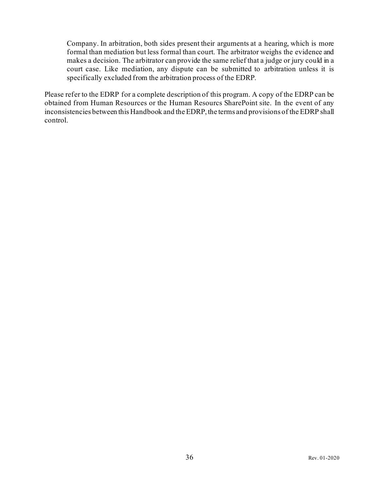Company. In arbitration, both sides present their arguments at a hearing, which is more formal than mediation but less formal than court. The arbitrator weighs the evidence and makes a decision. The arbitrator can provide the same relief that a judge or jury could in a court case. Like mediation, any dispute can be submitted to arbitration unless it is specifically excluded from the arbitration process of the EDRP.

Please refer to the EDRP for a complete description of this program. A copy of the EDRP can be obtained from Human Resources or the Human Resourcs SharePoint site. In the event of any inconsistencies between this Handbook and the EDRP, the terms and provisions of the EDRP shall control.